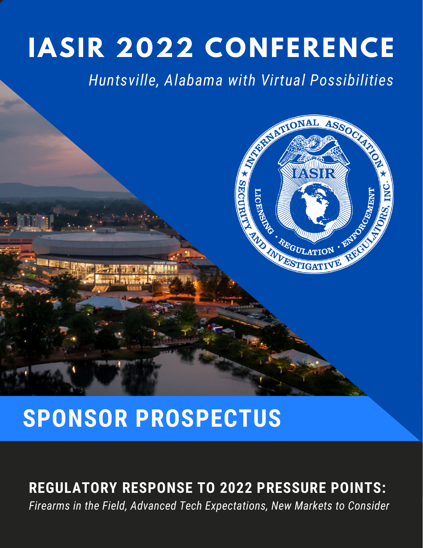# **IASIR 2022 CONFERENCE**

*Huntsville, Alabama with Virtual Possibilities*



## **SPONSOR PROSPECTUS**

## **REGULATORY RESPONSE TO 2022 PRESSURE POINTS:**

*Firearms in the Field, Advanced Tech Expectations, New Markets to Consider*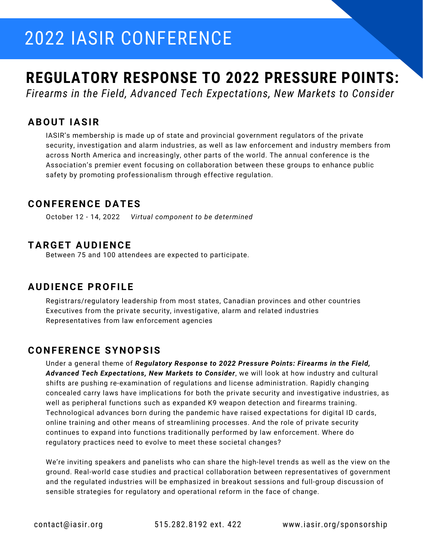## 2022 IASIR CONFERENCE

## **REGULATORY RESPONSE TO 2022 PRESSURE POINTS:**

*Firearms in the Field, Advanced Tech Expectations, New Markets to Consider*

#### **ABOUT IASIR**

IASIR's membership is made up of state and provincial government regulators of the private security, investigation and alarm industries, as well as law enforcement and industry members from across North America and increasingly, other parts of the world. The annual conference is the Association's premier event focusing on collaboration between these groups to enhance public safety by promoting professionalism through effective regulation.

#### **CONFERENCE DATES**

October 12 - 14, 2022 *Virtual component to be determined*

#### **TARGET AUDIENCE**

Between 75 and 100 attendees are expected to participate.

### **AUDIENCE PROFILE**

Registrars/regulatory leadership from most states, Canadian provinces and other countries Executives from the private security, investigative, alarm and related industries Representatives from law enforcement agencies

#### **CONFERENCE SYNOPSIS**

Under a general theme of *Regulatory Response to 2022 Pressure Points: Firearms in the Field, Advanced Tech Expectations, New Markets to Consider*, we will look at how industry and cultural shifts are pushing re-examination of regulations and license administration. Rapidly changing concealed carry laws have implications for both the private security and investigative industries, as well as peripheral functions such as expanded K9 weapon detection and firearms training. Technological advances born during the pandemic have raised expectations for digital ID cards, online training and other means of streamlining processes. And the role of private security continues to expand into functions traditionally performed by law enforcement. Where do regulatory practices need to evolve to meet these societal changes?

We're inviting speakers and panelists who can share the high-level trends as well as the view on the ground. Real-world case studies and practical collaboration between representatives of government and the regulated industries will be emphasized in breakout sessions and full-group discussion of sensible strategies for regulatory and operational reform in the face of change.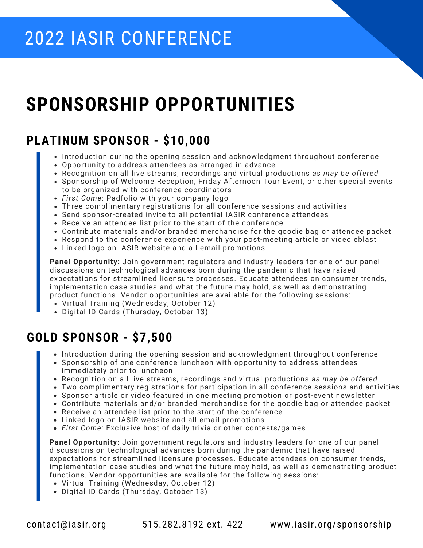## 2022 IASIR CONFERENCE

## **SPONSORSHIP OPPORTUNITIES**

### **PLATINUM SPONSOR - \$10,000**

- Introduction during the opening session and acknowledgment throughout conference
- Opportunity to address attendees as arranged in advance
- Recognition on all live streams, recordings and virtual productions *as may be offered*
- Sponsorship of Welcome Reception, Friday Afternoon Tour Event, or other special events to be organized with conference coordinators
- *First Come*: Padfolio with your company logo
- Three complimentary registrations for all conference sessions and activities
- Send sponsor-created invite to all potential IASIR conference attendees
- Receive an attendee list prior to the start of the conference
- Contribute materials and/or branded merchandise for the goodie bag or attendee packet
- Respond to the conference experience with your post-meeting article or video eblast
- Linked logo on IASIR website and all email promotions

**Panel Opportunity:** Join government regulators and industry leaders for one of our panel discussions on technological advances born during the pandemic that have raised expectations for streamlined licensure processes. Educate attendees on consumer trends, implementation case studies and what the future may hold, as well as demonstrating product functions. Vendor opportunities are available for the following sessions:

- Virtual Training (Wednesday, October 12)
- Digital ID Cards (Thursday, October 13)

### **GOLD SPONSOR - \$7,500**

- Introduction during the opening session and acknowledgment throughout conference
- Sponsorship of one conference luncheon with opportunity to address attendees immediately prior to luncheon
- Recognition on all live streams, recordings and virtual productions *as may be offered*
- Two complimentary registrations for participation in all conference sessions and activities
- Sponsor article or video featured in one meeting promotion or post-event newsletter
- Contribute materials and/or branded merchandise for the goodie bag or attendee packet
- Receive an attendee list prior to the start of the conference
- Linked logo on IASIR website and all email promotions
- *First Come:* Exclusive host of daily trivia or other contests/games

**Panel Opportunity:** Join government regulators and industry leaders for one of our panel discussions on technological advances born during the pandemic that have raised expectations for streamlined licensure processes. Educate attendees on consumer trends, implementation case studies and what the future may hold, as well as demonstrating product functions. Vendor opportunities are available for the following sessions:

- Virtual Training (Wednesday, October 12)
- Digital ID Cards (Thursday, October 13)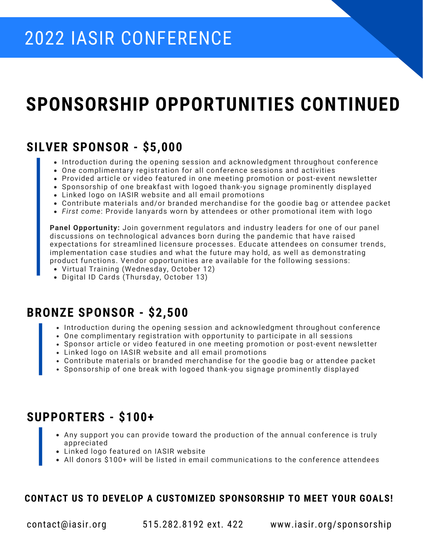## **SPONSORSHIP OPPORTUNITIES CONTINUED**

### **SILVER SPONSOR - \$5,000**

- Introduction during the opening session and acknowledgment throughout conference
- One complimentary registration for all conference sessions and activities
- Provided article or video featured in one meeting promotion or post-event newsletter
- Sponsorship of one breakfast with logoed thank-you signage prominently displayed
- Linked logo on IASIR website and all email promotions
- Contribute materials and/or branded merchandise for the goodie bag or attendee packet
- *First come*: Provide lanyards worn by attendees or other promotional item with logo

**Panel Opportunity:** Join government regulators and industry leaders for one of our panel discussions on technological advances born during the pandemic that have raised expectations for streamlined licensure processes. Educate attendees on consumer trends, implementation case studies and what the future may hold, as well as demonstrating product functions. Vendor opportunities are available for the following sessions:

- Virtual Training (Wednesday, October 12)
- Digital ID Cards (Thursday, October 13)

### **BRONZE SPONSOR - \$2,500**

- Introduction during the opening session and acknowledgment throughout conference
- One complimentary registration with opportunity to participate in all sessions
- Sponsor article or video featured in one meeting promotion or post-event newsletter
- Linked logo on IASIR website and all email promotions
- Contribute materials or branded merchandise for the goodie bag or attendee packet
- Sponsorship of one break with logoed thank-you signage prominently displayed

### **SUPPORTERS - \$100+**

- Any support you can provide toward the production of the annual conference is truly appreciated
- Linked logo featured on IASIR website
- All donors \$100+ will be listed in email communications to the conference attendees

#### **CONTACT US TO DEVELOP A CUSTOMIZED SPONSORSHIP TO MEET YOUR GOALS!**

contact@iasir.org 515.282.8192 ext. 422 www.iasir.org/sponsorship